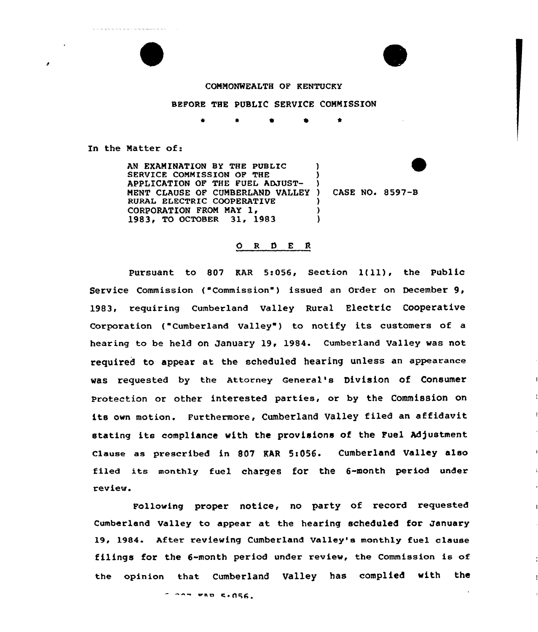

.<br>The contract contract of the contract of the contract contract contract contract of the contract of the contract of



## COMMONWEALTH OF KENTUCKY

## BEFORE THE PUBLIC SERVICE COMMISSION

<sup>4</sup> \* e 0 \*

In the Matter of:

AN EXAMINATION BY THE PUBLIC SERVICE COMMISSION OF THE APPLICATION OF THE FUEL ADJUST-MENT CLAUSE OF CUMBERLAND VALLEY) RURAL ELECTRIC COOPERATIVE<br>CORPORATION FROM MAY 1, 1983, TO OCTOBER 31, 1983  $\lambda$ ) ) ) ) )

CASE NO. 8597-B

## ORDER

pursuant to <sup>807</sup> EAR 5:056, Section 1{ll), the public Service Commission ("Commission") issued an Order on December 9, 1983, requiring Cumberland Valley Rural Electric Cooperative Corporation ("Cumberland Valley") to notify its customers of a hearing to be held on January 19, 1984. Cumberland Valley was not required to appear at the scheduled hearing unless an appearance was requested by the Attorney General's Division of Consumer Protection or other interested parties, or by the Commission on its own motion. Furthermore, Cumberland Valley filed an affidavit stating its compliance with the provisions of the Fuel Adjustment Clause as prescribed in 807 KAR 5:056. Cumberland Valley also filed its monthly fuel charges for the 6-month period under review.

Following proper notice, no party of record requested Cumberland Valley ta appear at the hearing scheduled for January 19, 1984. After reviewing Cumberland Valley's monthly fue1 clause filings for the 6-month period under review, the Commission is of the opinion that Cumberland Valley has complied with the

e aa c. <sup>~</sup> PI%6